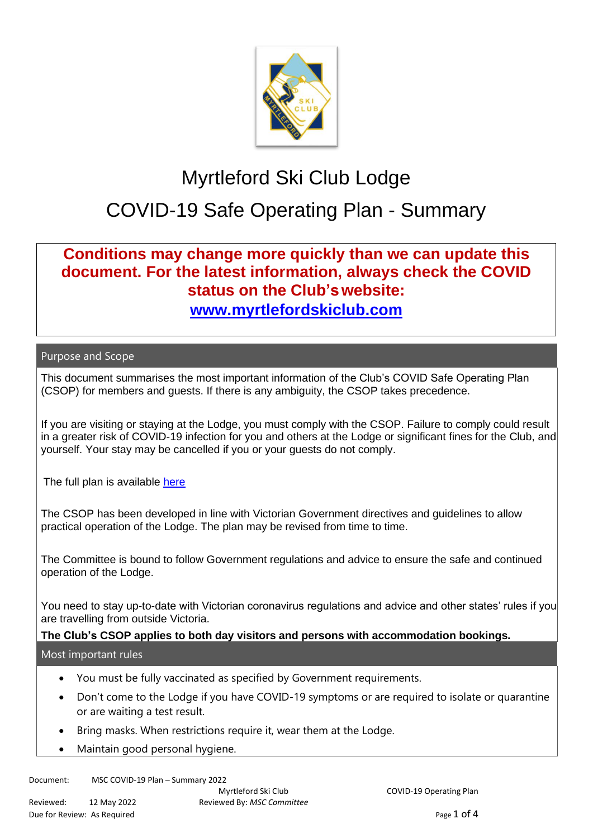

# Myrtleford Ski Club Lodge

# COVID-19 Safe Operating Plan - Summary

## **Conditions may change more quickly than we can update this document. For the latest information, always check the COVID status on the Club'swebsite: [www.myrtlefordskiclub.com](http://www.myrtlefordskiclub.com/)**

#### Purpose and Scope

This document summarises the most important information of the Club's COVID Safe Operating Plan (CSOP) for members and guests. If there is any ambiguity, the CSOP takes precedence.

If you are visiting or staying at the Lodge, you must comply with the CSOP. Failure to comply could result in a greater risk of COVID-19 infection for you and others at the Lodge or significant fines for the Club, and yourself. Your stay may be cancelled if you or your guests do not comply.

The full plan is available [here](MSC%20COVID%20-19%20Plan%20Version%209%20-%2012%20May%202022.docx)

The CSOP has been developed in line with Victorian Government directives and guidelines to allow practical operation of the Lodge. The plan may be revised from time to time.

The Committee is bound to follow Government regulations and advice to ensure the safe and continued operation of the Lodge.

You need to stay up-to-date with Victorian coronavirus regulations and advice and other states' rules if you are travelling from outside Victoria.

### **The Club's CSOP applies to both day visitors and persons with accommodation bookings.**

#### Most important rules

- You must be fully vaccinated as specified by Government requirements.
- Don't come to the Lodge if you have COVID-19 symptoms or are required to isolate or quarantine or are waiting a test result.
- Bring masks. When restrictions require it, wear them at the Lodge.
- Maintain good personal hygiene.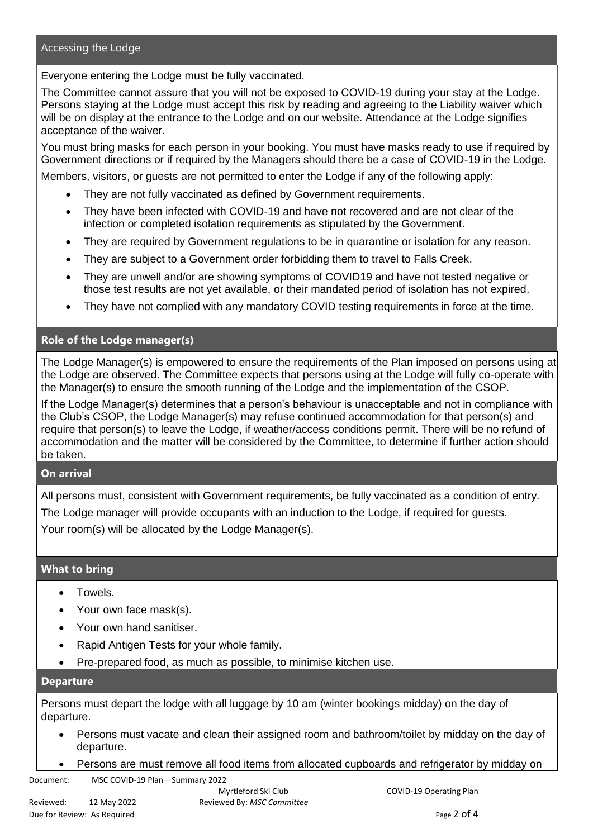#### Accessing the Lodge

Everyone entering the Lodge must be fully vaccinated.

The Committee cannot assure that you will not be exposed to COVID-19 during your stay at the Lodge. Persons staying at the Lodge must accept this risk by reading and agreeing to the Liability waiver which will be on display at the entrance to the Lodge and on our website. Attendance at the Lodge signifies acceptance of the waiver.

You must bring masks for each person in your booking. You must have masks ready to use if required by Government directions or if required by the Managers should there be a case of COVID-19 in the Lodge.

Members, visitors, or guests are not permitted to enter the Lodge if any of the following apply:

- They are not fully vaccinated as defined by Government requirements.
- They have been infected with COVID-19 and have not recovered and are not clear of the infection or completed isolation requirements as stipulated by the Government.
- They are required by Government regulations to be in quarantine or isolation for any reason.
- They are subject to a Government order forbidding them to travel to Falls Creek.
- They are unwell and/or are showing symptoms of COVID19 and have not tested negative or those test results are not yet available, or their mandated period of isolation has not expired.
- They have not complied with any mandatory COVID testing requirements in force at the time.

#### **Role of the Lodge manager(s)**

The Lodge Manager(s) is empowered to ensure the requirements of the Plan imposed on persons using at the Lodge are observed. The Committee expects that persons using at the Lodge will fully co-operate with the Manager(s) to ensure the smooth running of the Lodge and the implementation of the CSOP.

If the Lodge Manager(s) determines that a person's behaviour is unacceptable and not in compliance with the Club's CSOP, the Lodge Manager(s) may refuse continued accommodation for that person(s) and require that person(s) to leave the Lodge, if weather/access conditions permit. There will be no refund of accommodation and the matter will be considered by the Committee, to determine if further action should be taken.

#### **On arrival**

All persons must, consistent with Government requirements, be fully vaccinated as a condition of entry.

The Lodge manager will provide occupants with an induction to the Lodge, if required for guests.

Your room(s) will be allocated by the Lodge Manager(s).

#### **What to bring**

- Towels.
- Your own face mask(s).
- Your own hand sanitiser.
- Rapid Antigen Tests for your whole family.
- Pre-prepared food, as much as possible, to minimise kitchen use.

#### **Departure**

Persons must depart the lodge with all luggage by 10 am (winter bookings midday) on the day of departure.

- Persons must vacate and clean their assigned room and bathroom/toilet by midday on the day of departure.
- Persons are must remove all food items from allocated cupboards and refrigerator by midday on

Document: MSC COVID-19 Plan – Summary 2022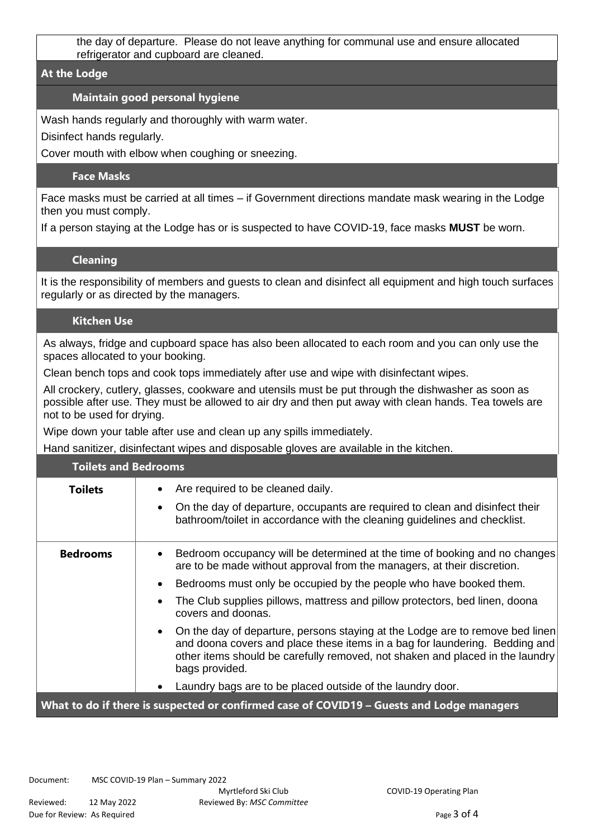the day of departure. Please do not leave anything for communal use and ensure allocated refrigerator and cupboard are cleaned.

#### **At the Lodge**

### **Maintain good personal hygiene**

Wash hands regularly and thoroughly with warm water.

Disinfect hands regularly.

Cover mouth with elbow when coughing or sneezing.

#### **Face Masks**

Face masks must be carried at all times – if Government directions mandate mask wearing in the Lodge then you must comply.

If a person staying at the Lodge has or is suspected to have COVID-19, face masks **MUST** be worn.

#### **Cleaning**

It is the responsibility of members and guests to clean and disinfect all equipment and high touch surfaces regularly or as directed by the managers.

#### **Kitchen Use**

As always, fridge and cupboard space has also been allocated to each room and you can only use the spaces allocated to your booking.

Clean bench tops and cook tops immediately after use and wipe with disinfectant wipes.

All crockery, cutlery, glasses, cookware and utensils must be put through the dishwasher as soon as possible after use. They must be allowed to air dry and then put away with clean hands. Tea towels are not to be used for drying.

Wipe down your table after use and clean up any spills immediately.

Hand sanitizer, disinfectant wipes and disposable gloves are available in the kitchen.

| <b>Toilets and Bedrooms</b>                                                               |                                                                                                                                                                                                                                                                                                                                                            |
|-------------------------------------------------------------------------------------------|------------------------------------------------------------------------------------------------------------------------------------------------------------------------------------------------------------------------------------------------------------------------------------------------------------------------------------------------------------|
| <b>Toilets</b>                                                                            | Are required to be cleaned daily.<br>$\bullet$<br>On the day of departure, occupants are required to clean and disinfect their<br>$\bullet$<br>bathroom/toilet in accordance with the cleaning guidelines and checklist.                                                                                                                                   |
| <b>Bedrooms</b>                                                                           | Bedroom occupancy will be determined at the time of booking and no changes<br>$\bullet$<br>are to be made without approval from the managers, at their discretion.<br>Bedrooms must only be occupied by the people who have booked them.<br>The Club supplies pillows, mattress and pillow protectors, bed linen, doona<br>$\bullet$<br>covers and doonas. |
|                                                                                           | On the day of departure, persons staying at the Lodge are to remove bed linen<br>$\bullet$<br>and doona covers and place these items in a bag for laundering. Bedding and<br>other items should be carefully removed, not shaken and placed in the laundry<br>bags provided.                                                                               |
|                                                                                           | Laundry bags are to be placed outside of the laundry door.<br>$\bullet$                                                                                                                                                                                                                                                                                    |
| What to do if there is suspected or confirmed case of COVID19 - Guests and Lodge managers |                                                                                                                                                                                                                                                                                                                                                            |